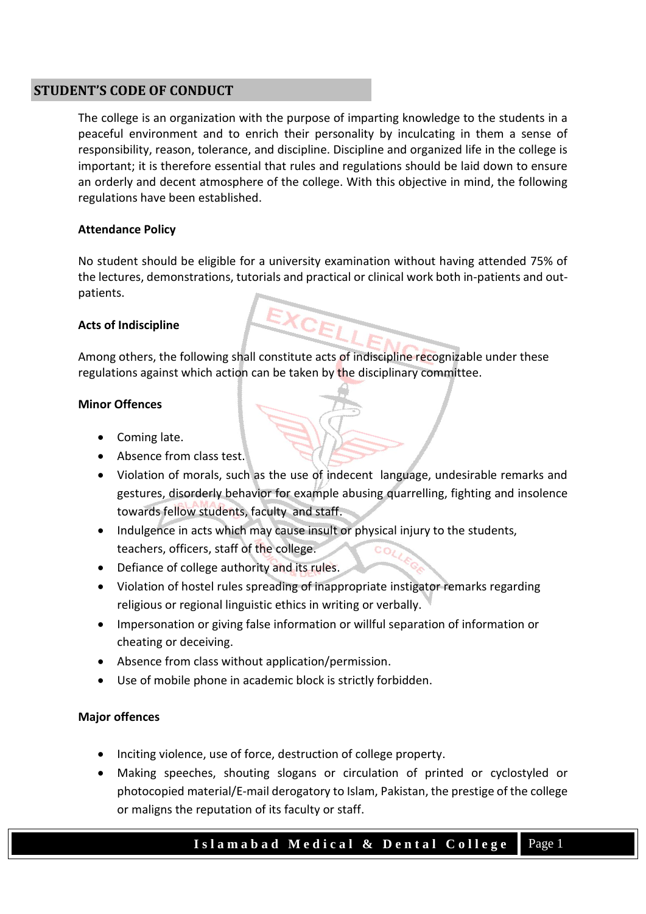# **STUDENT'S CODE OF CONDUCT**

The college is an organization with the purpose of imparting knowledge to the students in a peaceful environment and to enrich their personality by inculcating in them a sense of responsibility, reason, tolerance, and discipline. Discipline and organized life in the college is important; it is therefore essential that rules and regulations should be laid down to ensure an orderly and decent atmosphere of the college. With this objective in mind, the following regulations have been established.

# **Attendance Policy**

No student should be eligible for a university examination without having attended 75% of the lectures, demonstrations, tutorials and practical or clinical work both in-patients and outpatients.

# **Acts of Indiscipline**

Among others, the following shall constitute acts of indiscipline recognizable under these regulations against which action can be taken by the disciplinary committee.

### **Minor Offences**

- Coming late.
- Absence from class test.
- Violation of morals, such as the use of indecent language, undesirable remarks and gestures, disorderly behavior for example abusing quarrelling, fighting and insolence towards fellow students, faculty and staff.
- Indulgence in acts which may cause insult or physical injury to the students, teachers, officers, staff of the college.
- Defiance of college authority and its rules.
- Violation of hostel rules spreading of inappropriate instigator remarks regarding religious or regional linguistic ethics in writing or verbally.
- Impersonation or giving false information or willful separation of information or cheating or deceiving.
- Absence from class without application/permission.
- Use of mobile phone in academic block is strictly forbidden.

# **Major offences**

- Inciting violence, use of force, destruction of college property.
- Making speeches, shouting slogans or circulation of printed or cyclostyled or photocopied material/E-mail derogatory to Islam, Pakistan, the prestige of the college or maligns the reputation of its faculty or staff.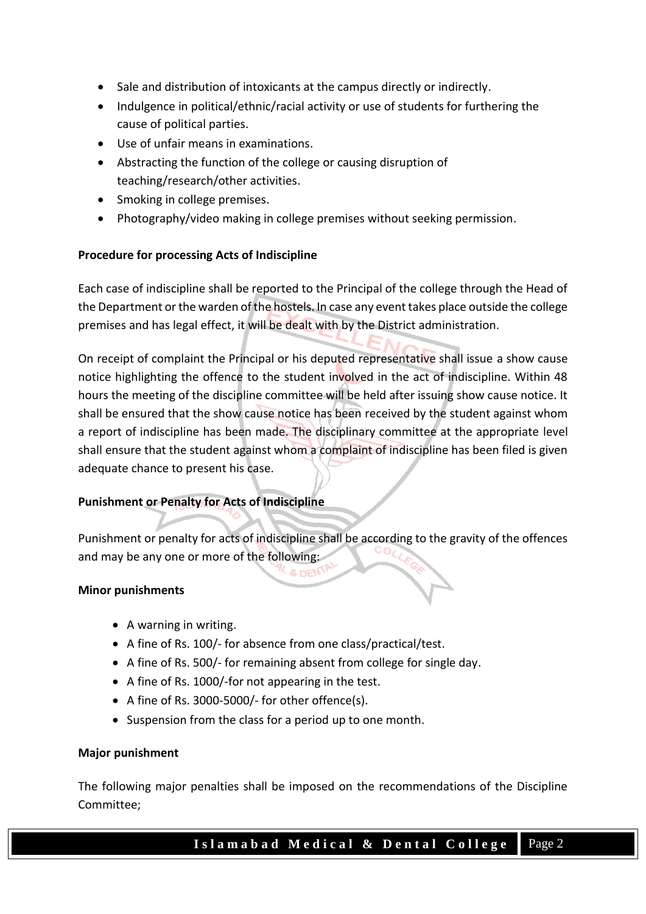- Sale and distribution of intoxicants at the campus directly or indirectly.
- Indulgence in political/ethnic/racial activity or use of students for furthering the cause of political parties.
- Use of unfair means in examinations.
- Abstracting the function of the college or causing disruption of teaching/research/other activities.
- Smoking in college premises.
- Photography/video making in college premises without seeking permission.

# **Procedure for processing Acts of Indiscipline**

Each case of indiscipline shall be reported to the Principal of the college through the Head of the Department or the warden of the hostels. In case any event takes place outside the college premises and has legal effect, it will be dealt with by the District administration.

On receipt of complaint the Principal or his deputed representative shall issue a show cause notice highlighting the offence to the student involved in the act of indiscipline. Within 48 hours the meeting of the discipline committee will be held after issuing show cause notice. It shall be ensured that the show cause notice has been received by the student against whom a report of indiscipline has been made. The disciplinary committee at the appropriate level shall ensure that the student against whom a complaint of indiscipline has been filed is given adequate chance to present his case.

# **Punishment or Penalty for Acts of Indiscipline**

Punishment or penalty for acts of indiscipline shall be according to the gravity of the offences and may be any one or more of the following:

### **Minor punishments**

- A warning in writing.
- A fine of Rs. 100/- for absence from one class/practical/test.
- A fine of Rs. 500/- for remaining absent from college for single day.
- A fine of Rs. 1000/-for not appearing in the test.
- A fine of Rs. 3000-5000/- for other offence(s).
- Suspension from the class for a period up to one month.

### **Major punishment**

The following major penalties shall be imposed on the recommendations of the Discipline Committee;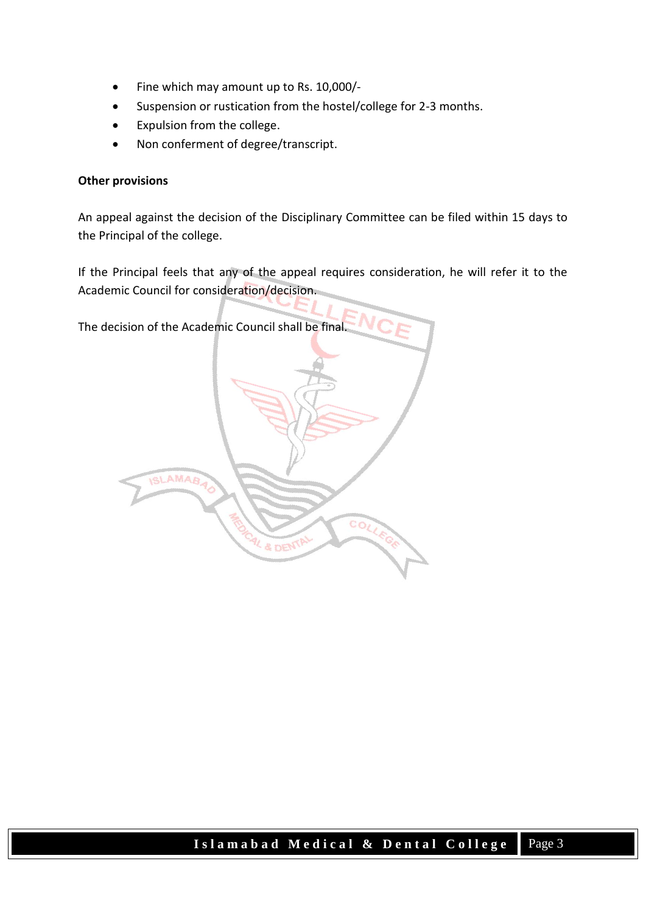- Fine which may amount up to Rs. 10,000/-
- Suspension or rustication from the hostel/college for 2-3 months.
- Expulsion from the college.
- Non conferment of degree/transcript.

### **Other provisions**

An appeal against the decision of the Disciplinary Committee can be filed within 15 days to the Principal of the college.

If the Principal feels that any of the appeal requires consideration, he will refer it to the Academic Council for consideration/decision.

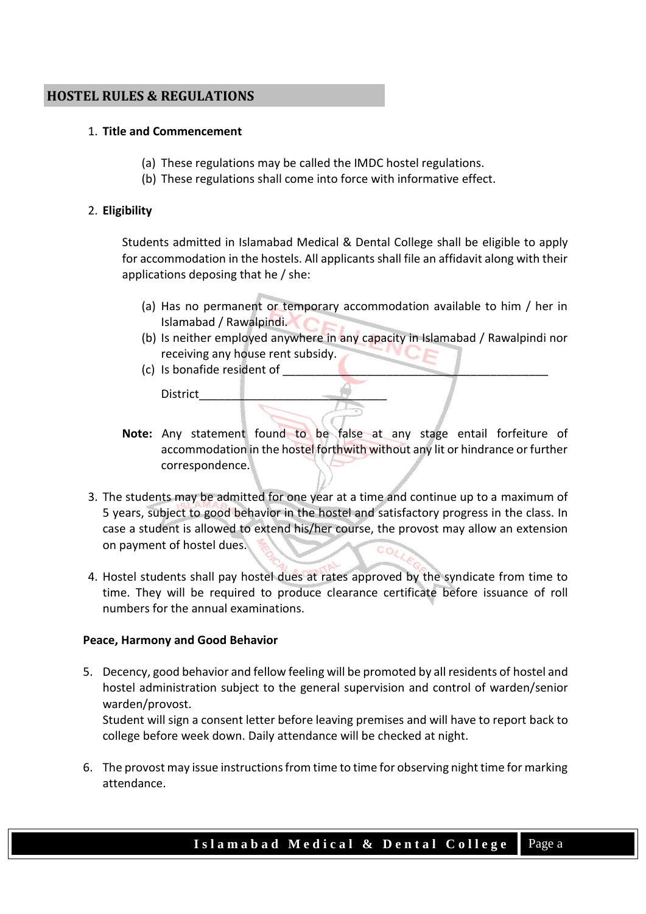# **HOSTEL RULES & REGULATIONS**

#### 1. **Title and Commencement**

- (a) These regulations may be called the IMDC hostel regulations.
- (b) These regulations shall come into force with informative effect.

#### 2. **Eligibility**

Students admitted in Islamabad Medical & Dental College shall be eligible to apply for accommodation in the hostels. All applicants shall file an affidavit along with their applications deposing that he / she:

- (a) Has no permanent or temporary accommodation available to him / her in Islamabad / Rawalpindi.
- (b) Is neither employed anywhere in any capacity in Islamabad / Rawalpindi nor receiving any house rent subsidy.
- (c) Is bonafide resident of

District\_\_\_\_\_\_\_\_\_\_\_\_\_\_\_\_\_\_\_\_\_\_\_\_\_\_\_\_\_

- **Note:** Any statement found to be false at any stage entail forfeiture of accommodation in the hostel forthwith without any lit or hindrance or further correspondence.
- 3. The students may be admitted for one year at a time and continue up to a maximum of 5 years, subject to good behavior in the hostel and satisfactory progress in the class. In case a student is allowed to extend his/her course, the provost may allow an extension on payment of hostel dues.
- 4. Hostel students shall pay hostel dues at rates approved by the syndicate from time to time. They will be required to produce clearance certificate before issuance of roll numbers for the annual examinations.

### **Peace, Harmony and Good Behavior**

5. Decency, good behavior and fellow feeling will be promoted by all residents of hostel and hostel administration subject to the general supervision and control of warden/senior warden/provost.

Student will sign a consent letter before leaving premises and will have to report back to college before week down. Daily attendance will be checked at night.

6. The provost may issue instructions from time to time for observing night time for marking attendance.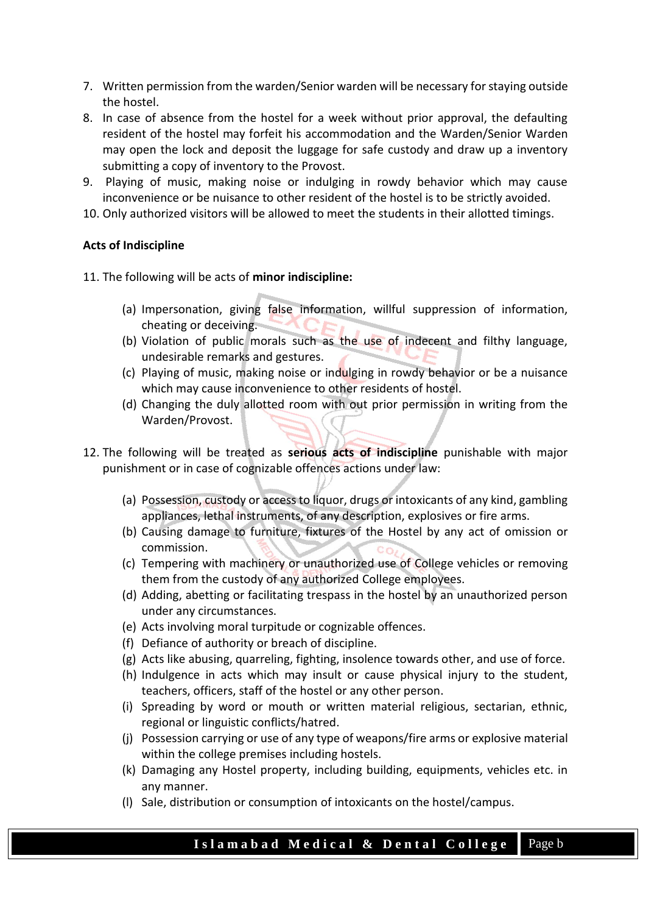- 7. Written permission from the warden/Senior warden will be necessary for staying outside the hostel.
- 8. In case of absence from the hostel for a week without prior approval, the defaulting resident of the hostel may forfeit his accommodation and the Warden/Senior Warden may open the lock and deposit the luggage for safe custody and draw up a inventory submitting a copy of inventory to the Provost.
- 9. Playing of music, making noise or indulging in rowdy behavior which may cause inconvenience or be nuisance to other resident of the hostel is to be strictly avoided.
- 10. Only authorized visitors will be allowed to meet the students in their allotted timings.

# **Acts of Indiscipline**

11. The following will be acts of **minor indiscipline:**

- (a) Impersonation, giving false information, willful suppression of information, cheating or deceiving.
- (b) Violation of public morals such as the use of indecent and filthy language, undesirable remarks and gestures.
- (c) Playing of music, making noise or indulging in rowdy behavior or be a nuisance which may cause inconvenience to other residents of hostel.
- (d) Changing the duly allotted room with out prior permission in writing from the Warden/Provost.
- 12. The following will be treated as **serious acts of indiscipline** punishable with major punishment or in case of cognizable offences actions under law:
	- (a) Possession, custody or access to liquor, drugs or intoxicants of any kind, gambling appliances, lethal instruments, of any description, explosives or fire arms.
	- (b) Causing damage to furniture, fixtures of the Hostel by any act of omission or commission.
	- (c) Tempering with machinery or unauthorized use of College vehicles or removing them from the custody of any authorized College employees.
	- (d) Adding, abetting or facilitating trespass in the hostel by an unauthorized person under any circumstances.
	- (e) Acts involving moral turpitude or cognizable offences.
	- (f) Defiance of authority or breach of discipline.
	- (g) Acts like abusing, quarreling, fighting, insolence towards other, and use of force.
	- (h) Indulgence in acts which may insult or cause physical injury to the student, teachers, officers, staff of the hostel or any other person.
	- (i) Spreading by word or mouth or written material religious, sectarian, ethnic, regional or linguistic conflicts/hatred.
	- (j) Possession carrying or use of any type of weapons/fire arms or explosive material within the college premises including hostels.
	- (k) Damaging any Hostel property, including building, equipments, vehicles etc. in any manner.
	- (l) Sale, distribution or consumption of intoxicants on the hostel/campus.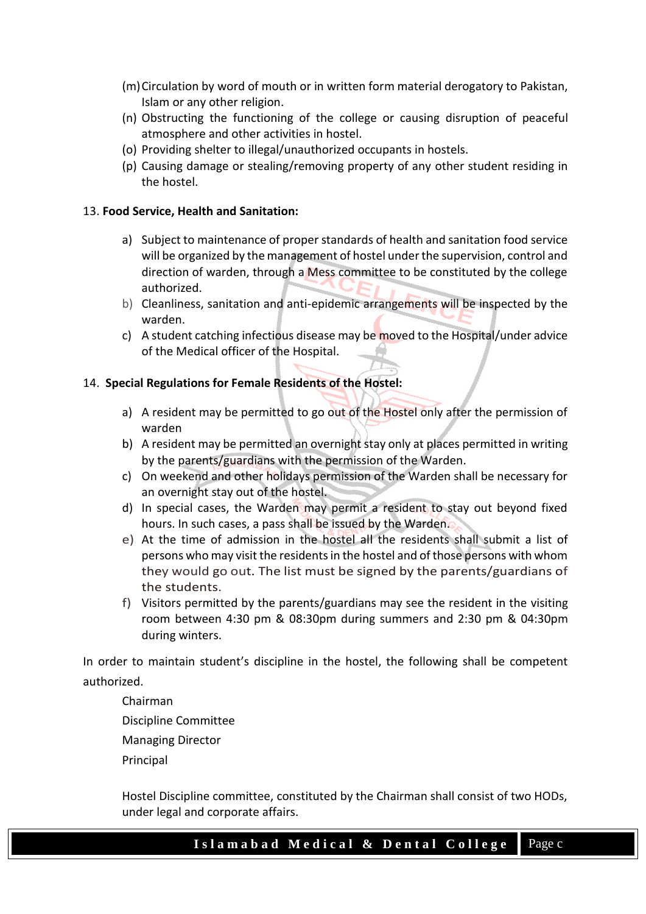- (m)Circulation by word of mouth or in written form material derogatory to Pakistan, Islam or any other religion.
- (n) Obstructing the functioning of the college or causing disruption of peaceful atmosphere and other activities in hostel.
- (o) Providing shelter to illegal/unauthorized occupants in hostels.
- (p) Causing damage or stealing/removing property of any other student residing in the hostel.

# 13. **Food Service, Health and Sanitation:**

- a) Subject to maintenance of proper standards of health and sanitation food service will be organized by the management of hostel under the supervision, control and direction of warden, through a Mess committee to be constituted by the college authorized.
- b) Cleanliness, sanitation and anti-epidemic arrangements will be inspected by the warden.
- c) A student catching infectious disease may be moved to the Hospital/under advice of the Medical officer of the Hospital.

# 14. **Special Regulations for Female Residents of the Hostel:**

- a) A resident may be permitted to go out of the Hostel only after the permission of warden
- b) A resident may be permitted an overnight stay only at places permitted in writing by the parents/guardians with the permission of the Warden.
- c) On weekend and other holidays permission of the Warden shall be necessary for an overnight stay out of the hostel.
- d) In special cases, the Warden may permit a resident to stay out beyond fixed hours. In such cases, a pass shall be issued by the Warden.
- e) At the time of admission in the hostel all the residents shall submit a list of persons who may visit the residents in the hostel and of those persons with whom they would go out. The list must be signed by the parents/guardians of the students.
- f) Visitors permitted by the parents/guardians may see the resident in the visiting room between 4:30 pm & 08:30pm during summers and 2:30 pm & 04:30pm during winters.

In order to maintain student's discipline in the hostel, the following shall be competent authorized.

Chairman

Discipline Committee

Managing Director

Principal

Hostel Discipline committee, constituted by the Chairman shall consist of two HODs, under legal and corporate affairs.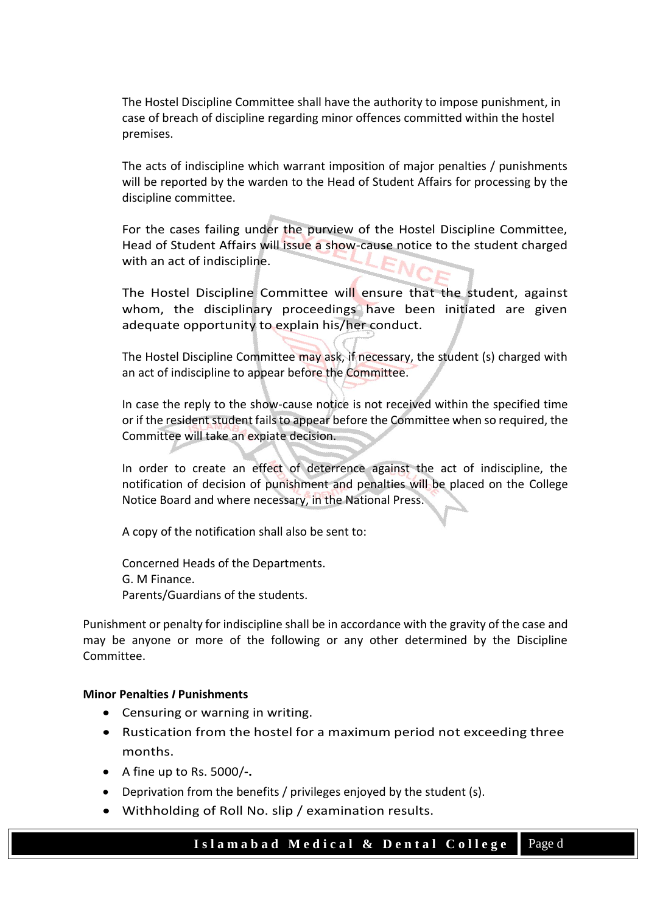The Hostel Discipline Committee shall have the authority to impose punishment, in case of breach of discipline regarding minor offences committed within the hostel premises.

The acts of indiscipline which warrant imposition of major penalties / punishments will be reported by the warden to the Head of Student Affairs for processing by the discipline committee.

For the cases failing under the purview of the Hostel Discipline Committee, Head of Student Affairs will issue a show-cause notice to the student charged with an act of indiscipline.

The Hostel Discipline Committee will ensure that the student, against whom, the disciplinary proceedings have been initiated are given adequate opportunity to explain his/her conduct.

The Hostel Discipline Committee may ask, if necessary, the student (s) charged with an act of indiscipline to appear before the Committee.

In case the reply to the show-cause notice is not received within the specified time or if the resident student fails to appear before the Committee when so required, the Committee will take an expiate decision.

In order to create an effect of deterrence against the act of indiscipline, the notification of decision of punishment and penalties will be placed on the College Notice Board and where necessary, in the National Press.

A copy of the notification shall also be sent to:

Concerned Heads of the Departments. G. M Finance. Parents/Guardians of the students.

Punishment or penalty for indiscipline shall be in accordance with the gravity of the case and may be anyone or more of the following or any other determined by the Discipline Committee.

### **Minor Penalties** *I* **Punishments**

- Censuring or warning in writing.
- Rustication from the hostel for a maximum period not exceeding three months.
- A fine up to Rs. 5000/**-.**
- Deprivation from the benefits / privileges enjoyed by the student (s).
- Withholding of Roll No. slip / examination results.